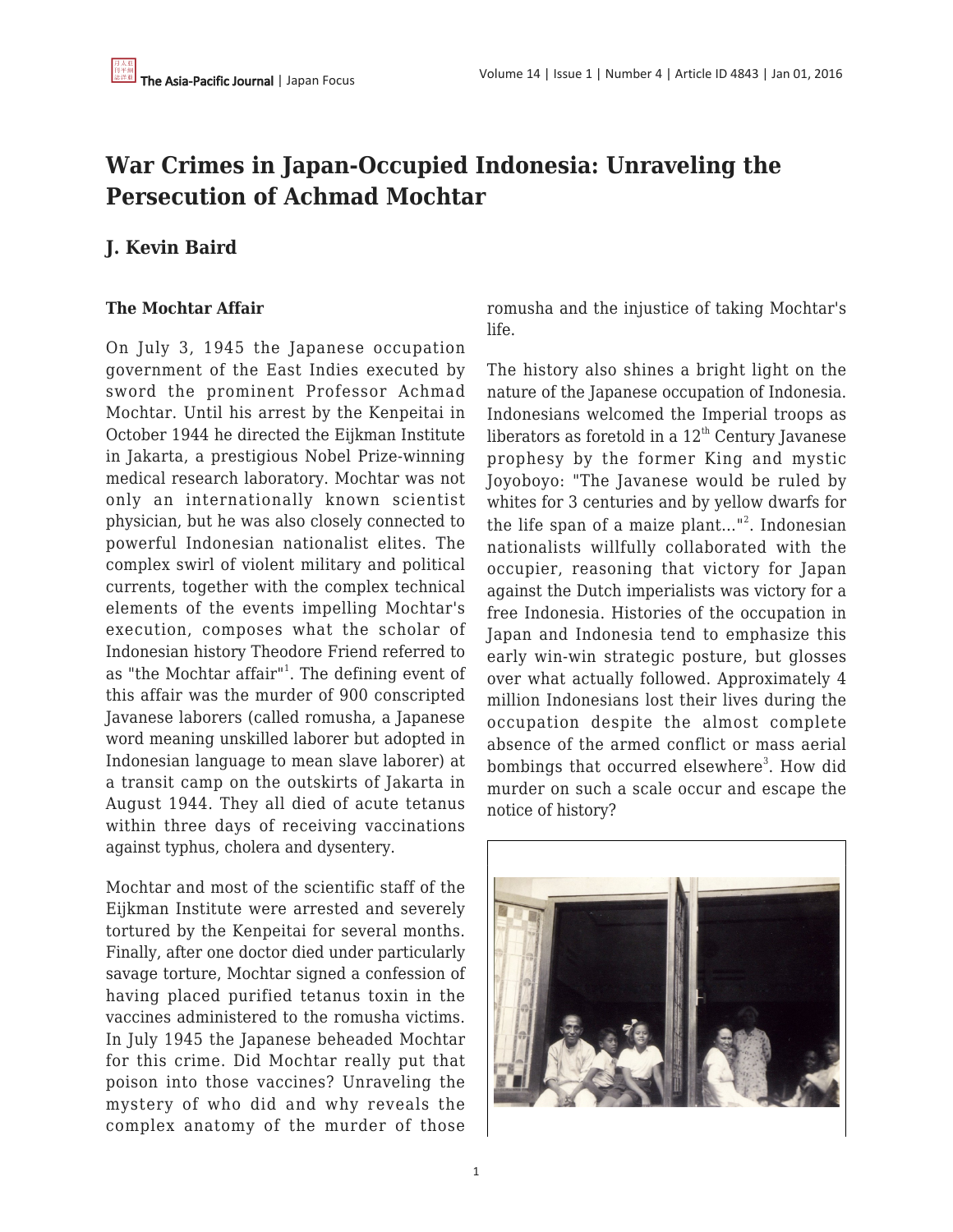## **War Crimes in Japan-Occupied Indonesia: Unraveling the Persecution of Achmad Mochtar**

## **J. Kevin Baird**

## **The Mochtar Affair**

On July 3, 1945 the Japanese occupation government of the East Indies executed by sword the prominent Professor Achmad Mochtar. Until his arrest by the Kenpeitai in October 1944 he directed the Eijkman Institute in Jakarta, a prestigious Nobel Prize-winning medical research laboratory. Mochtar was not only an internationally known scientist physician, but he was also closely connected to powerful Indonesian nationalist elites. The complex swirl of violent military and political currents, together with the complex technical elements of the events impelling Mochtar's execution, composes what the scholar of Indonesian history Theodore Friend referred to as "the Mochtar affair"<sup>1</sup>. The defining event of this affair was the murder of 900 conscripted Javanese laborers (called romusha, a Japanese word meaning unskilled laborer but adopted in Indonesian language to mean slave laborer) at a transit camp on the outskirts of Jakarta in August 1944. They all died of acute tetanus within three days of receiving vaccinations against typhus, cholera and dysentery.

Mochtar and most of the scientific staff of the Eijkman Institute were arrested and severely tortured by the Kenpeitai for several months. Finally, after one doctor died under particularly savage torture, Mochtar signed a confession of having placed purified tetanus toxin in the vaccines administered to the romusha victims. In July 1945 the Japanese beheaded Mochtar for this crime. Did Mochtar really put that poison into those vaccines? Unraveling the mystery of who did and why reveals the complex anatomy of the murder of those romusha and the injustice of taking Mochtar's life.

The history also shines a bright light on the nature of the Japanese occupation of Indonesia. Indonesians welcomed the Imperial troops as liberators as foretold in a  $12<sup>th</sup>$  Century Javanese prophesy by the former King and mystic Joyoboyo: "The Javanese would be ruled by whites for 3 centuries and by yellow dwarfs for the life span of a maize plant…" 2 . Indonesian nationalists willfully collaborated with the occupier, reasoning that victory for Japan against the Dutch imperialists was victory for a free Indonesia. Histories of the occupation in Japan and Indonesia tend to emphasize this early win-win strategic posture, but glosses over what actually followed. Approximately 4 million Indonesians lost their lives during the occupation despite the almost complete absence of the armed conflict or mass aerial bombings that occurred elsewhere<sup>3</sup>. How did murder on such a scale occur and escape the notice of history?

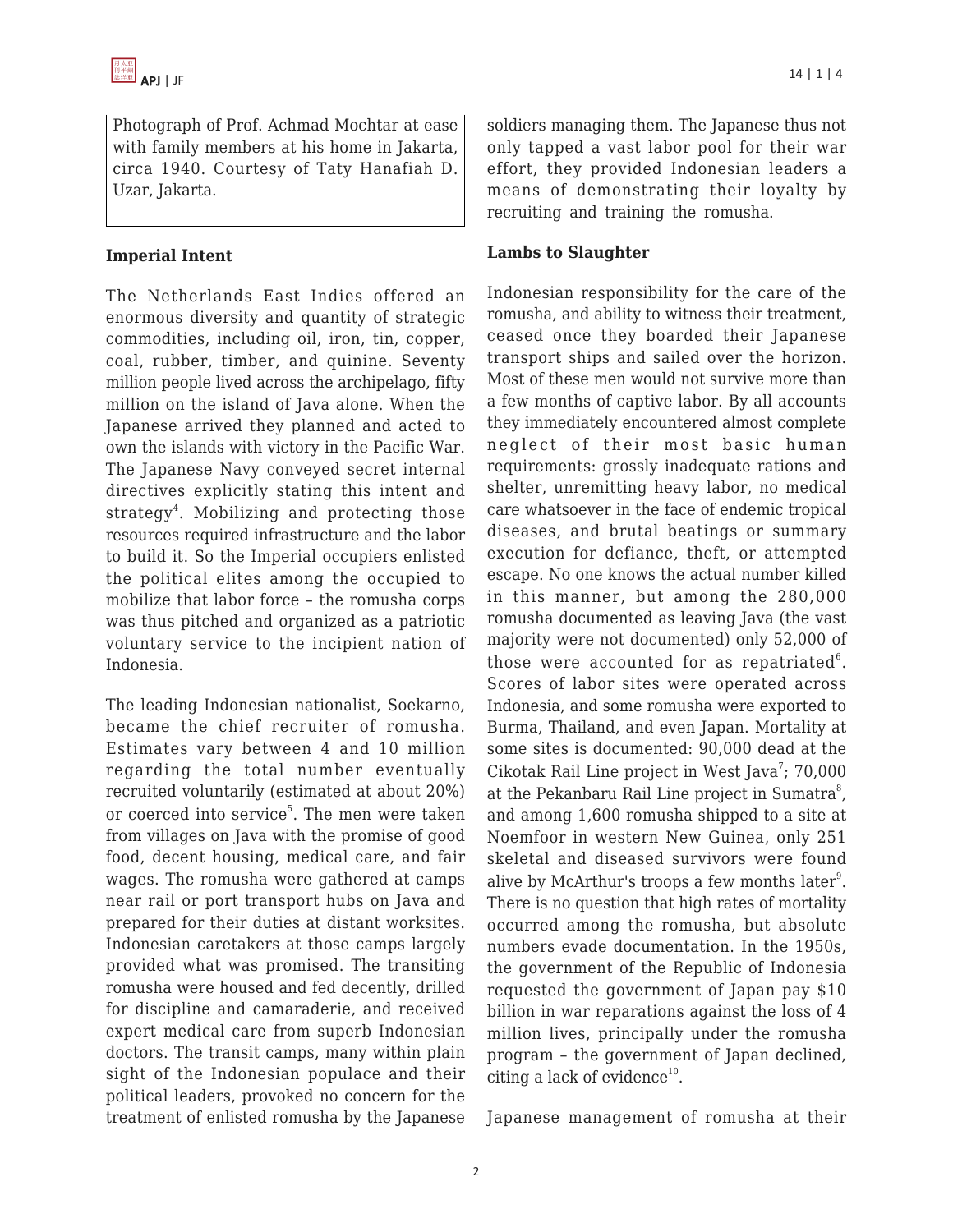Photograph of Prof. Achmad Mochtar at ease with family members at his home in Jakarta, circa 1940. Courtesy of Taty Hanafiah D. Uzar, Jakarta.

## **Imperial Intent**

The Netherlands East Indies offered an enormous diversity and quantity of strategic commodities, including oil, iron, tin, copper, coal, rubber, timber, and quinine. Seventy million people lived across the archipelago, fifty million on the island of Java alone. When the Japanese arrived they planned and acted to own the islands with victory in the Pacific War. The Japanese Navy conveyed secret internal directives explicitly stating this intent and strategy<sup>4</sup>. Mobilizing and protecting those resources required infrastructure and the labor to build it. So the Imperial occupiers enlisted the political elites among the occupied to mobilize that labor force – the romusha corps was thus pitched and organized as a patriotic voluntary service to the incipient nation of Indonesia.

The leading Indonesian nationalist, Soekarno, became the chief recruiter of romusha. Estimates vary between 4 and 10 million regarding the total number eventually recruited voluntarily (estimated at about 20%) or coerced into service<sup>5</sup>. The men were taken from villages on Java with the promise of good food, decent housing, medical care, and fair wages. The romusha were gathered at camps near rail or port transport hubs on Java and prepared for their duties at distant worksites. Indonesian caretakers at those camps largely provided what was promised. The transiting romusha were housed and fed decently, drilled for discipline and camaraderie, and received expert medical care from superb Indonesian doctors. The transit camps, many within plain sight of the Indonesian populace and their political leaders, provoked no concern for the treatment of enlisted romusha by the Japanese soldiers managing them. The Japanese thus not only tapped a vast labor pool for their war effort, they provided Indonesian leaders a means of demonstrating their loyalty by recruiting and training the romusha.

### **Lambs to Slaughter**

Indonesian responsibility for the care of the romusha, and ability to witness their treatment, ceased once they boarded their Japanese transport ships and sailed over the horizon. Most of these men would not survive more than a few months of captive labor. By all accounts they immediately encountered almost complete neglect of their most basic human requirements: grossly inadequate rations and shelter, unremitting heavy labor, no medical care whatsoever in the face of endemic tropical diseases, and brutal beatings or summary execution for defiance, theft, or attempted escape. No one knows the actual number killed in this manner, but among the 280,000 romusha documented as leaving Java (the vast majority were not documented) only 52,000 of those were accounted for as repatriated $^6$ . Scores of labor sites were operated across Indonesia, and some romusha were exported to Burma, Thailand, and even Japan. Mortality at some sites is documented: 90,000 dead at the Cikotak Rail Line project in West Java<sup>7</sup>; 70,000 at the Pekanbaru Rail Line project in Sumatra $^8$ , and among 1,600 romusha shipped to a site at Noemfoor in western New Guinea, only 251 skeletal and diseased survivors were found alive by McArthur's troops a few months later<sup>9</sup>. There is no question that high rates of mortality occurred among the romusha, but absolute numbers evade documentation. In the 1950s, the government of the Republic of Indonesia requested the government of Japan pay \$10 billion in war reparations against the loss of 4 million lives, principally under the romusha program – the government of Japan declined, citing a lack of evidence<sup>10</sup>.

Japanese management of romusha at their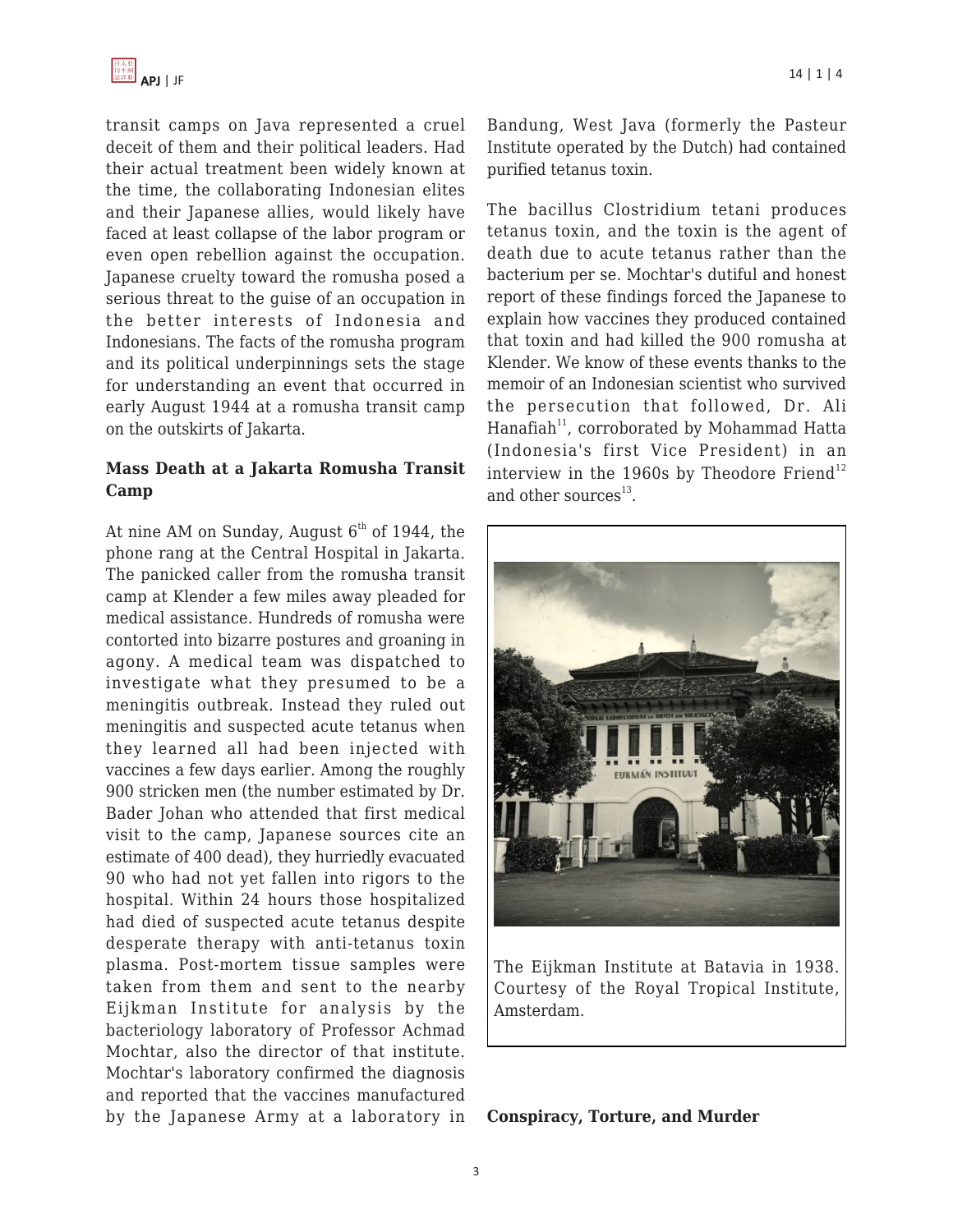

transit camps on Java represented a cruel deceit of them and their political leaders. Had their actual treatment been widely known at the time, the collaborating Indonesian elites and their Japanese allies, would likely have faced at least collapse of the labor program or even open rebellion against the occupation. Japanese cruelty toward the romusha posed a serious threat to the guise of an occupation in the better interests of Indonesia and Indonesians. The facts of the romusha program and its political underpinnings sets the stage for understanding an event that occurred in early August 1944 at a romusha transit camp on the outskirts of Jakarta.

## **Mass Death at a Jakarta Romusha Transit Camp**

At nine AM on Sunday, August  $6<sup>th</sup>$  of 1944, the phone rang at the Central Hospital in Jakarta. The panicked caller from the romusha transit camp at Klender a few miles away pleaded for medical assistance. Hundreds of romusha were contorted into bizarre postures and groaning in agony. A medical team was dispatched to investigate what they presumed to be a meningitis outbreak. Instead they ruled out meningitis and suspected acute tetanus when they learned all had been injected with vaccines a few days earlier. Among the roughly 900 stricken men (the number estimated by Dr. Bader Johan who attended that first medical visit to the camp, Japanese sources cite an estimate of 400 dead), they hurriedly evacuated 90 who had not yet fallen into rigors to the hospital. Within 24 hours those hospitalized had died of suspected acute tetanus despite desperate therapy with anti-tetanus toxin plasma. Post-mortem tissue samples were taken from them and sent to the nearby Eijkman Institute for analysis by the bacteriology laboratory of Professor Achmad Mochtar, also the director of that institute. Mochtar's laboratory confirmed the diagnosis and reported that the vaccines manufactured by the Japanese Army at a laboratory in Bandung, West Java (formerly the Pasteur Institute operated by the Dutch) had contained purified tetanus toxin.

The bacillus Clostridium tetani produces tetanus toxin, and the toxin is the agent of death due to acute tetanus rather than the bacterium per se. Mochtar's dutiful and honest report of these findings forced the Japanese to explain how vaccines they produced contained that toxin and had killed the 900 romusha at Klender. We know of these events thanks to the memoir of an Indonesian scientist who survived the persecution that followed, Dr. Ali Hanafiah $11$ , corroborated by Mohammad Hatta (Indonesia's first Vice President) in an interview in the 1960s by Theodore Friend<sup>12</sup> and other sources<sup>13</sup>.



The Eijkman Institute at Batavia in 1938. Courtesy of the Royal Tropical Institute, Amsterdam.

**Conspiracy, Torture, and Murder**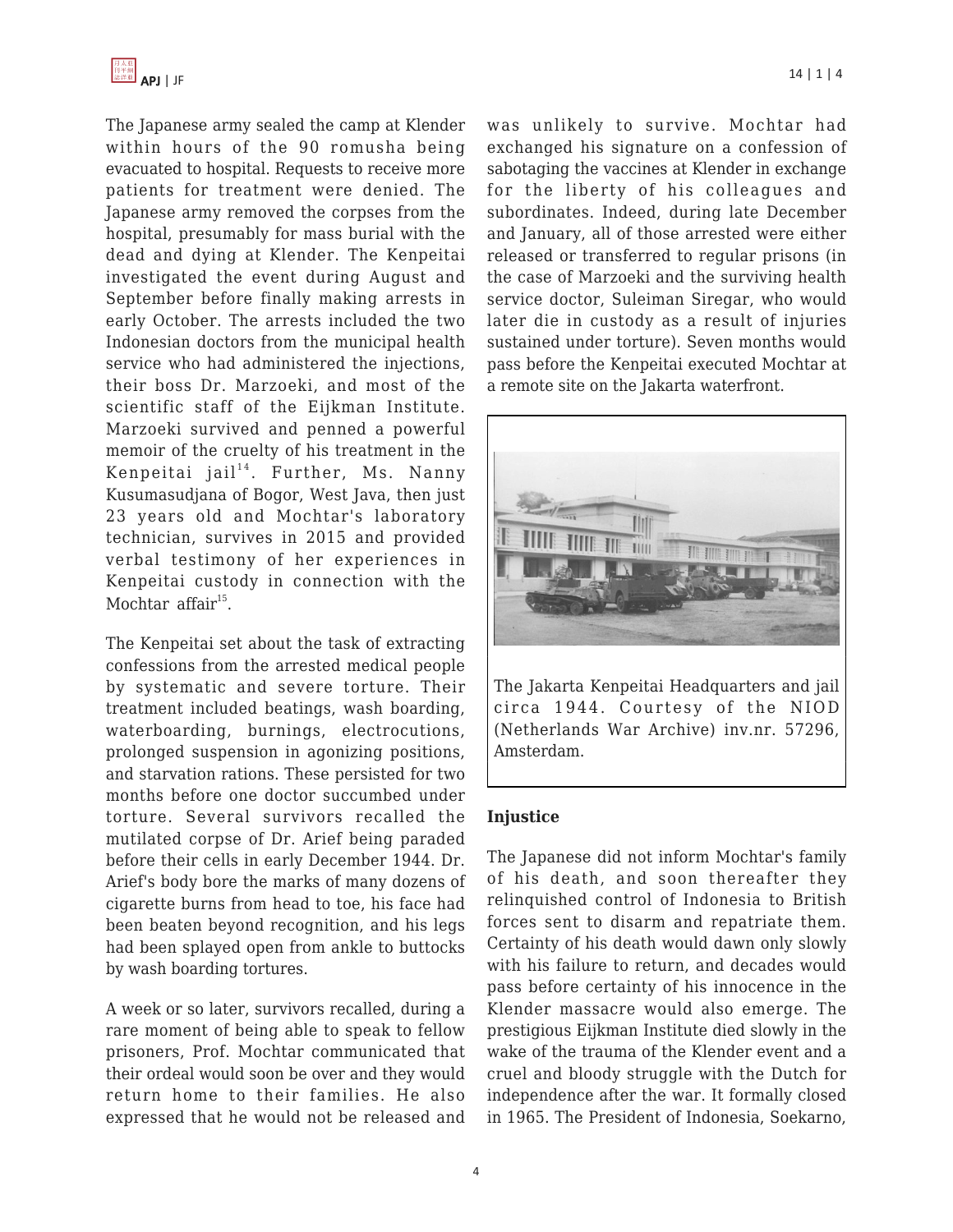

The Japanese army sealed the camp at Klender within hours of the 90 romusha being evacuated to hospital. Requests to receive more patients for treatment were denied. The Japanese army removed the corpses from the hospital, presumably for mass burial with the dead and dying at Klender. The Kenpeitai investigated the event during August and September before finally making arrests in early October. The arrests included the two Indonesian doctors from the municipal health service who had administered the injections, their boss Dr. Marzoeki, and most of the scientific staff of the Eijkman Institute. Marzoeki survived and penned a powerful memoir of the cruelty of his treatment in the Kenpeitai jail<sup>14</sup>. Further, Ms. Nanny Kusumasudjana of Bogor, West Java, then just 23 years old and Mochtar's laboratory technician, survives in 2015 and provided verbal testimony of her experiences in Kenpeitai custody in connection with the Mochtar affair $^{15}$ .

The Kenpeitai set about the task of extracting confessions from the arrested medical people by systematic and severe torture. Their treatment included beatings, wash boarding, waterboarding, burnings, electrocutions, prolonged suspension in agonizing positions, and starvation rations. These persisted for two months before one doctor succumbed under torture. Several survivors recalled the mutilated corpse of Dr. Arief being paraded before their cells in early December 1944. Dr. Arief's body bore the marks of many dozens of cigarette burns from head to toe, his face had been beaten beyond recognition, and his legs had been splayed open from ankle to buttocks by wash boarding tortures.

A week or so later, survivors recalled, during a rare moment of being able to speak to fellow prisoners, Prof. Mochtar communicated that their ordeal would soon be over and they would return home to their families. He also expressed that he would not be released and was unlikely to survive. Mochtar had exchanged his signature on a confession of sabotaging the vaccines at Klender in exchange for the liberty of his colleagues and subordinates. Indeed, during late December and January, all of those arrested were either released or transferred to regular prisons (in the case of Marzoeki and the surviving health service doctor, Suleiman Siregar, who would later die in custody as a result of injuries sustained under torture). Seven months would pass before the Kenpeitai executed Mochtar at a remote site on the Jakarta waterfront.



The Jakarta Kenpeitai Headquarters and jail circa 1944. Courtesy of the NIOD (Netherlands War Archive) inv.nr. 57296, Amsterdam.

#### **Injustice**

The Japanese did not inform Mochtar's family of his death, and soon thereafter they relinquished control of Indonesia to British forces sent to disarm and repatriate them. Certainty of his death would dawn only slowly with his failure to return, and decades would pass before certainty of his innocence in the Klender massacre would also emerge. The prestigious Eijkman Institute died slowly in the wake of the trauma of the Klender event and a cruel and bloody struggle with the Dutch for independence after the war. It formally closed in 1965. The President of Indonesia, Soekarno,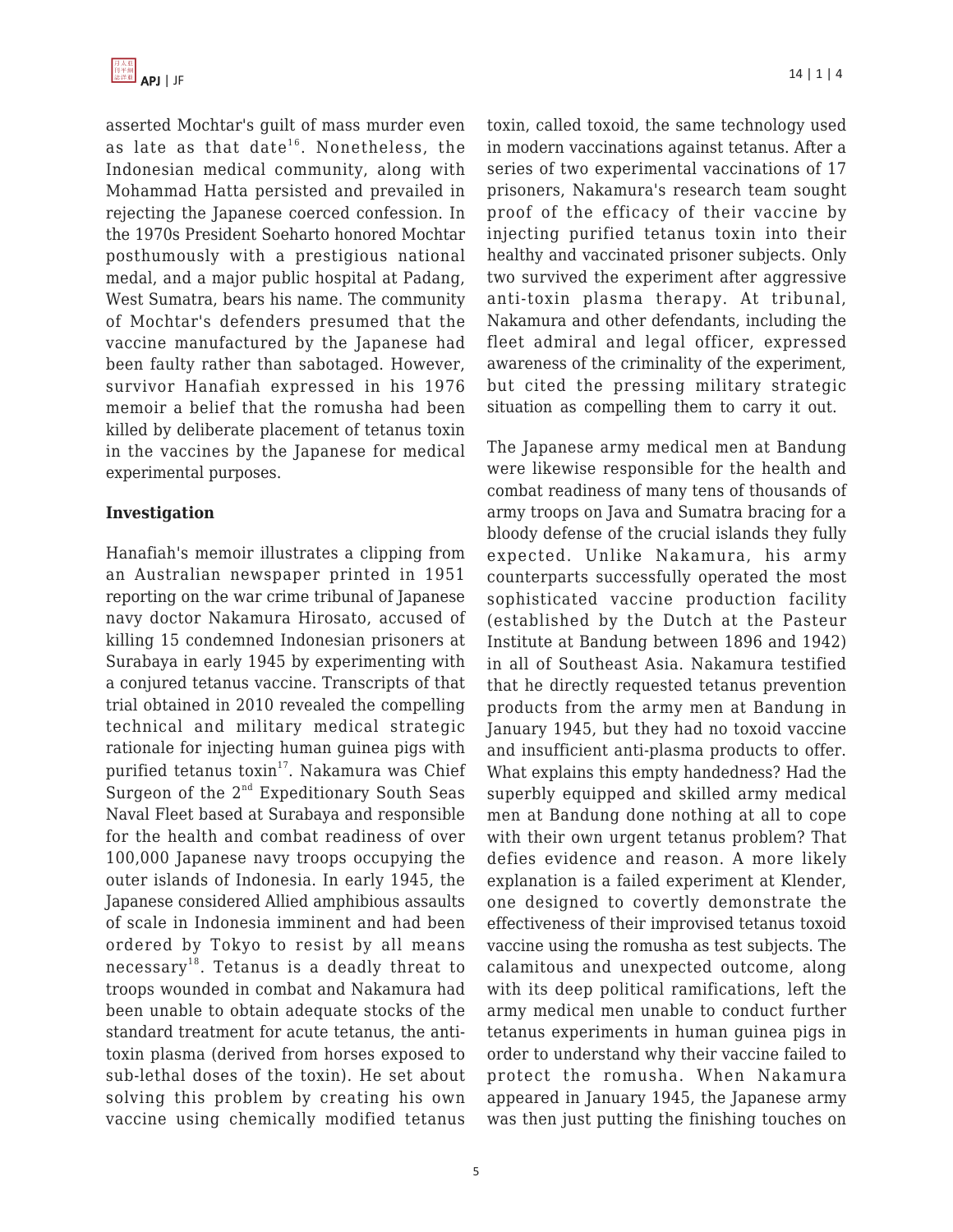

asserted Mochtar's guilt of mass murder even as late as that date<sup>16</sup>. Nonetheless, the Indonesian medical community, along with Mohammad Hatta persisted and prevailed in rejecting the Japanese coerced confession. In the 1970s President Soeharto honored Mochtar posthumously with a prestigious national medal, and a major public hospital at Padang, West Sumatra, bears his name. The community of Mochtar's defenders presumed that the vaccine manufactured by the Japanese had been faulty rather than sabotaged. However, survivor Hanafiah expressed in his 1976 memoir a belief that the romusha had been killed by deliberate placement of tetanus toxin in the vaccines by the Japanese for medical experimental purposes.

#### **Investigation**

Hanafiah's memoir illustrates a clipping from an Australian newspaper printed in 1951 reporting on the war crime tribunal of Japanese navy doctor Nakamura Hirosato, accused of killing 15 condemned Indonesian prisoners at Surabaya in early 1945 by experimenting with a conjured tetanus vaccine. Transcripts of that trial obtained in 2010 revealed the compelling technical and military medical strategic rationale for injecting human guinea pigs with purified tetanus toxin<sup>17</sup>. Nakamura was Chief Surgeon of the  $2^{nd}$  Expeditionary South Seas Naval Fleet based at Surabaya and responsible for the health and combat readiness of over 100,000 Japanese navy troops occupying the outer islands of Indonesia. In early 1945, the Japanese considered Allied amphibious assaults of scale in Indonesia imminent and had been ordered by Tokyo to resist by all means necessary<sup>18</sup>. Tetanus is a deadly threat to troops wounded in combat and Nakamura had been unable to obtain adequate stocks of the standard treatment for acute tetanus, the antitoxin plasma (derived from horses exposed to sub-lethal doses of the toxin). He set about solving this problem by creating his own vaccine using chemically modified tetanus toxin, called toxoid, the same technology used in modern vaccinations against tetanus. After a series of two experimental vaccinations of 17 prisoners, Nakamura's research team sought proof of the efficacy of their vaccine by injecting purified tetanus toxin into their healthy and vaccinated prisoner subjects. Only two survived the experiment after aggressive anti-toxin plasma therapy. At tribunal, Nakamura and other defendants, including the fleet admiral and legal officer, expressed awareness of the criminality of the experiment, but cited the pressing military strategic situation as compelling them to carry it out.

The Japanese army medical men at Bandung were likewise responsible for the health and combat readiness of many tens of thousands of army troops on Java and Sumatra bracing for a bloody defense of the crucial islands they fully expected. Unlike Nakamura, his army counterparts successfully operated the most sophisticated vaccine production facility (established by the Dutch at the Pasteur Institute at Bandung between 1896 and 1942) in all of Southeast Asia. Nakamura testified that he directly requested tetanus prevention products from the army men at Bandung in January 1945, but they had no toxoid vaccine and insufficient anti-plasma products to offer. What explains this empty handedness? Had the superbly equipped and skilled army medical men at Bandung done nothing at all to cope with their own urgent tetanus problem? That defies evidence and reason. A more likely explanation is a failed experiment at Klender, one designed to covertly demonstrate the effectiveness of their improvised tetanus toxoid vaccine using the romusha as test subjects. The calamitous and unexpected outcome, along with its deep political ramifications, left the army medical men unable to conduct further tetanus experiments in human guinea pigs in order to understand why their vaccine failed to protect the romusha. When Nakamura appeared in January 1945, the Japanese army was then just putting the finishing touches on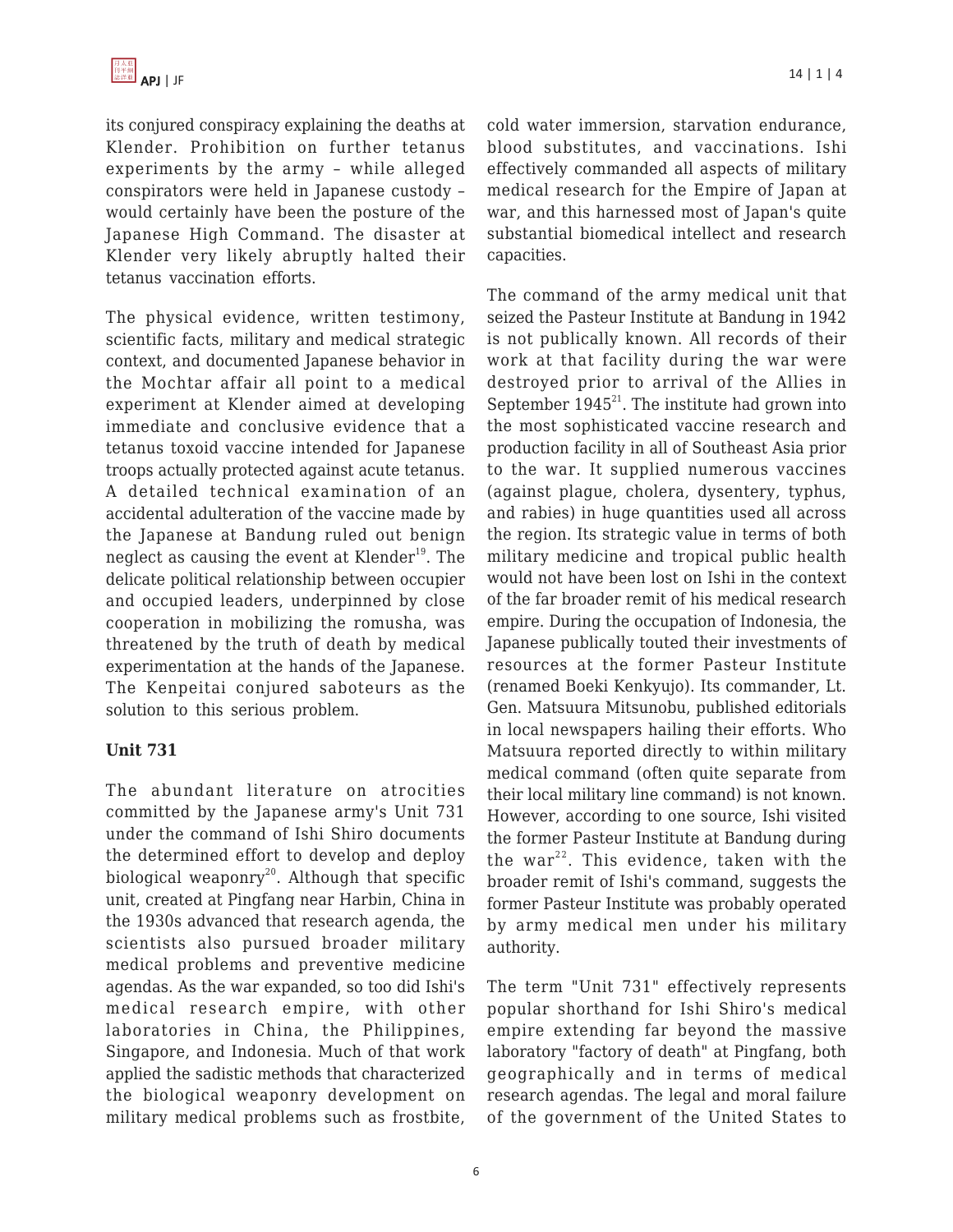its conjured conspiracy explaining the deaths at Klender. Prohibition on further tetanus experiments by the army – while alleged conspirators were held in Japanese custody – would certainly have been the posture of the Japanese High Command. The disaster at Klender very likely abruptly halted their tetanus vaccination efforts.

The physical evidence, written testimony, scientific facts, military and medical strategic context, and documented Japanese behavior in the Mochtar affair all point to a medical experiment at Klender aimed at developing immediate and conclusive evidence that a tetanus toxoid vaccine intended for Japanese troops actually protected against acute tetanus. A detailed technical examination of an accidental adulteration of the vaccine made by the Japanese at Bandung ruled out benign neglect as causing the event at Klender<sup>19</sup>. The delicate political relationship between occupier and occupied leaders, underpinned by close cooperation in mobilizing the romusha, was threatened by the truth of death by medical experimentation at the hands of the Japanese. The Kenpeitai conjured saboteurs as the solution to this serious problem.

## **Unit 731**

The abundant literature on atrocities committed by the Japanese army's Unit 731 under the command of Ishi Shiro documents the determined effort to develop and deploy biological weaponry $^{20}$ . Although that specific unit, created at Pingfang near Harbin, China in the 1930s advanced that research agenda, the scientists also pursued broader military medical problems and preventive medicine agendas. As the war expanded, so too did Ishi's medical research empire, with other laboratories in China, the Philippines, Singapore, and Indonesia. Much of that work applied the sadistic methods that characterized the biological weaponry development on military medical problems such as frostbite,

cold water immersion, starvation endurance, blood substitutes, and vaccinations. Ishi effectively commanded all aspects of military medical research for the Empire of Japan at war, and this harnessed most of Japan's quite substantial biomedical intellect and research capacities.

The command of the army medical unit that seized the Pasteur Institute at Bandung in 1942 is not publically known. All records of their work at that facility during the war were destroyed prior to arrival of the Allies in September  $1945^{21}$ . The institute had grown into the most sophisticated vaccine research and production facility in all of Southeast Asia prior to the war. It supplied numerous vaccines (against plague, cholera, dysentery, typhus, and rabies) in huge quantities used all across the region. Its strategic value in terms of both military medicine and tropical public health would not have been lost on Ishi in the context of the far broader remit of his medical research empire. During the occupation of Indonesia, the Japanese publically touted their investments of resources at the former Pasteur Institute (renamed Boeki Kenkyujo). Its commander, Lt. Gen. Matsuura Mitsunobu, published editorials in local newspapers hailing their efforts. Who Matsuura reported directly to within military medical command (often quite separate from their local military line command) is not known. However, according to one source, Ishi visited the former Pasteur Institute at Bandung during the war<sup>22</sup>. This evidence, taken with the broader remit of Ishi's command, suggests the former Pasteur Institute was probably operated by army medical men under his military authority.

The term "Unit 731" effectively represents popular shorthand for Ishi Shiro's medical empire extending far beyond the massive laboratory "factory of death" at Pingfang, both geographically and in terms of medical research agendas. The legal and moral failure of the government of the United States to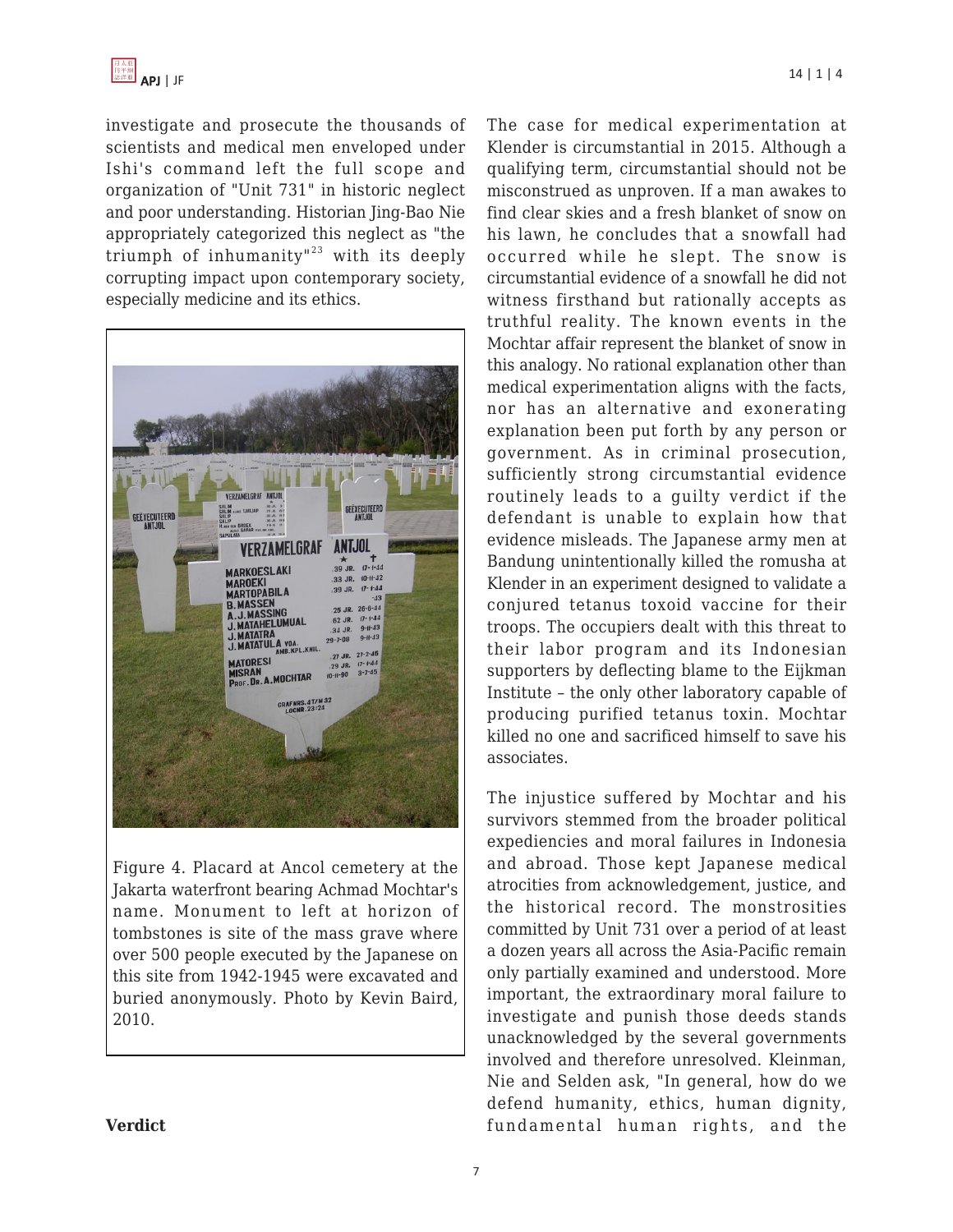

investigate and prosecute the thousands of scientists and medical men enveloped under Ishi's command left the full scope and organization of "Unit 731" in historic neglect and poor understanding. Historian Jing-Bao Nie appropriately categorized this neglect as "the triumph of inhumanity"<sup>23</sup> with its deeply corrupting impact upon contemporary society, especially medicine and its ethics.



Figure 4. Placard at Ancol cemetery at the Jakarta waterfront bearing Achmad Mochtar's name. Monument to left at horizon of tombstones is site of the mass grave where over 500 people executed by the Japanese on this site from 1942-1945 were excavated and buried anonymously. Photo by Kevin Baird, 2010.

The case for medical experimentation at Klender is circumstantial in 2015. Although a qualifying term, circumstantial should not be misconstrued as unproven. If a man awakes to find clear skies and a fresh blanket of snow on his lawn, he concludes that a snowfall had occurred while he slept. The snow is circumstantial evidence of a snowfall he did not witness firsthand but rationally accepts as truthful reality. The known events in the Mochtar affair represent the blanket of snow in this analogy. No rational explanation other than medical experimentation aligns with the facts, nor has an alternative and exonerating explanation been put forth by any person or government. As in criminal prosecution, sufficiently strong circumstantial evidence routinely leads to a guilty verdict if the defendant is unable to explain how that evidence misleads. The Japanese army men at Bandung unintentionally killed the romusha at Klender in an experiment designed to validate a conjured tetanus toxoid vaccine for their troops. The occupiers dealt with this threat to their labor program and its Indonesian supporters by deflecting blame to the Eijkman Institute – the only other laboratory capable of producing purified tetanus toxin. Mochtar killed no one and sacrificed himself to save his associates.

The injustice suffered by Mochtar and his survivors stemmed from the broader political expediencies and moral failures in Indonesia and abroad. Those kept Japanese medical atrocities from acknowledgement, justice, and the historical record. The monstrosities committed by Unit 731 over a period of at least a dozen years all across the Asia-Pacific remain only partially examined and understood. More important, the extraordinary moral failure to investigate and punish those deeds stands unacknowledged by the several governments involved and therefore unresolved. Kleinman, Nie and Selden ask, "In general, how do we defend humanity, ethics, human dignity, fundamental human rights, and the

**Verdict**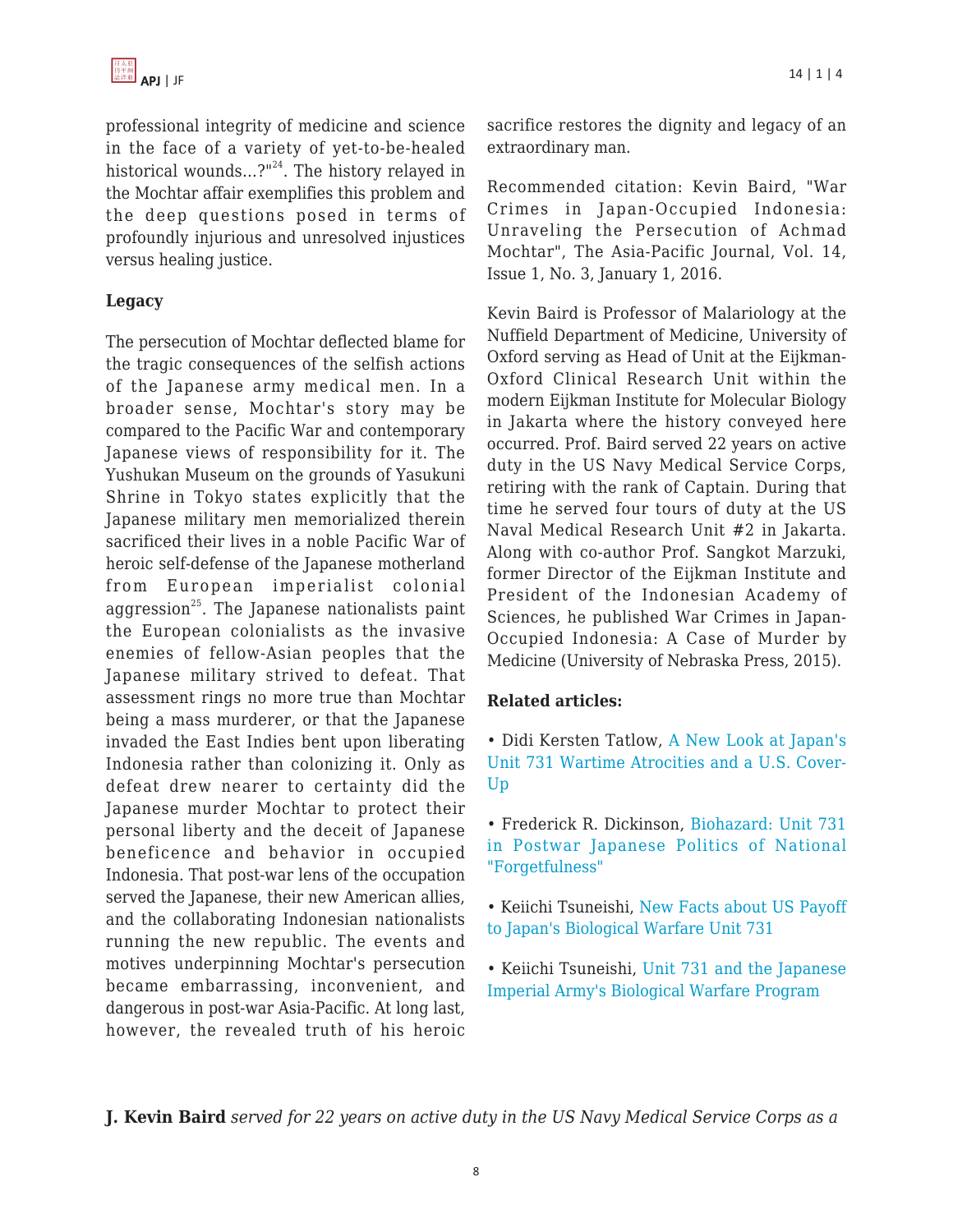

professional integrity of medicine and science in the face of a variety of yet-to-be-healed historical wounds...?"<sup>24</sup>. The history relayed in the Mochtar affair exemplifies this problem and the deep questions posed in terms of profoundly injurious and unresolved injustices versus healing justice.

## **Legacy**

The persecution of Mochtar deflected blame for the tragic consequences of the selfish actions of the Japanese army medical men. In a broader sense, Mochtar's story may be compared to the Pacific War and contemporary Japanese views of responsibility for it. The Yushukan Museum on the grounds of Yasukuni Shrine in Tokyo states explicitly that the Japanese military men memorialized therein sacrificed their lives in a noble Pacific War of heroic self-defense of the Japanese motherland from European imperialist colonial aggression<sup>25</sup>. The Japanese nationalists paint the European colonialists as the invasive enemies of fellow-Asian peoples that the Japanese military strived to defeat. That assessment rings no more true than Mochtar being a mass murderer, or that the Japanese invaded the East Indies bent upon liberating Indonesia rather than colonizing it. Only as defeat drew nearer to certainty did the Japanese murder Mochtar to protect their personal liberty and the deceit of Japanese beneficence and behavior in occupied Indonesia. That post-war lens of the occupation served the Japanese, their new American allies, and the collaborating Indonesian nationalists running the new republic. The events and motives underpinning Mochtar's persecution became embarrassing, inconvenient, and dangerous in post-war Asia-Pacific. At long last, however, the revealed truth of his heroic sacrifice restores the dignity and legacy of an extraordinary man.

Recommended citation: Kevin Baird, "War Crimes in Japan-Occupied Indonesia: Unraveling the Persecution of Achmad Mochtar", The Asia-Pacific Journal, Vol. 14, Issue 1, No. 3, January 1, 2016.

Kevin Baird is Professor of Malariology at the Nuffield Department of Medicine, University of Oxford serving as Head of Unit at the Eijkman-Oxford Clinical Research Unit within the modern Eijkman Institute for Molecular Biology in Jakarta where the history conveyed here occurred. Prof. Baird served 22 years on active duty in the US Navy Medical Service Corps, retiring with the rank of Captain. During that time he served four tours of duty at the US Naval Medical Research Unit #2 in Jakarta. Along with co-author Prof. Sangkot Marzuki, former Director of the Eijkman Institute and President of the Indonesian Academy of Sciences, he published War Crimes in Japan-Occupied Indonesia: A Case of Murder by Medicine (University of Nebraska Press, 2015).

## **Related articles:**

• Didi Kersten Tatlow, [A New Look at Japan's](https://apjjf.org/-Didi-Kirsten_Tatlow/4399/article.html) [Unit 731 Wartime Atrocities and a U.S. Cover-](https://apjjf.org/-Didi-Kirsten_Tatlow/4399/article.html)[Up](https://apjjf.org/-Didi-Kirsten_Tatlow/4399/article.html)

• Frederick R. Dickinson, [Biohazard: Unit 731](https://apjjf.org/-Frederick_R_-Dickinson/2543/article.html) [in Postwar Japanese Politics of National](https://apjjf.org/-Frederick_R_-Dickinson/2543/article.html) ["Forgetfulness"](https://apjjf.org/-Frederick_R_-Dickinson/2543/article.html)

• Keiichi Tsuneishi, [New Facts about US Payoff](https://apjjf.org/-Tsuneishi-Kei_ichi/2209/article.html) [to Japan's Biological Warfare Unit 731](https://apjjf.org/-Tsuneishi-Kei_ichi/2209/article.html)

• Keiichi Tsuneishi, [Unit 731 and the Japanese](https://apjjf.org/-Tsuneishi-Keiichi/2194/article.html) [Imperial Army's Biological Warfare Program](https://apjjf.org/-Tsuneishi-Keiichi/2194/article.html)

**J. Kevin Baird** *served for 22 years on active duty in the US Navy Medical Service Corps as a*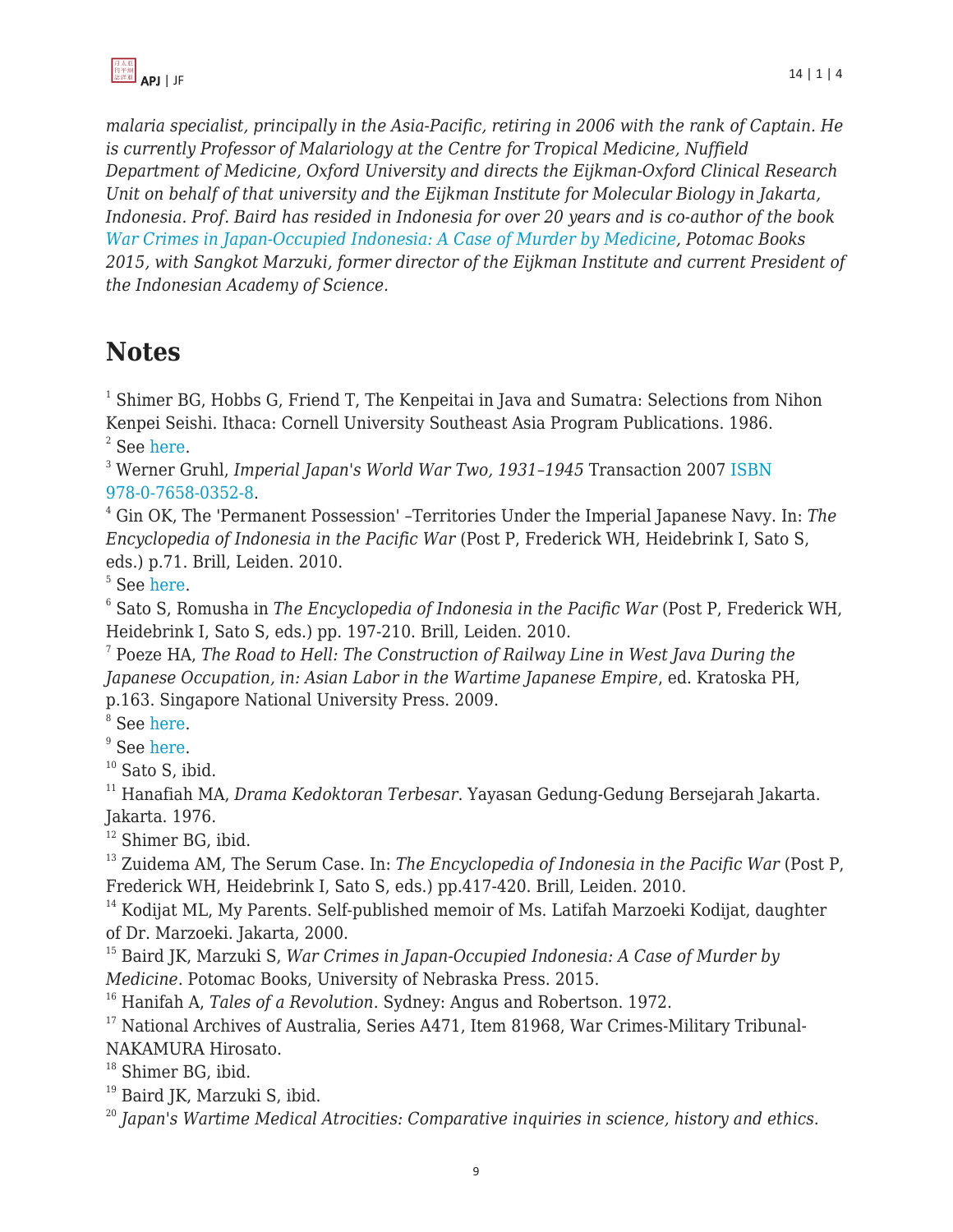

*malaria specialist, principally in the Asia-Pacific, retiring in 2006 with the rank of Captain. He is currently Professor of Malariology at the Centre for Tropical Medicine, Nuffield Department of Medicine, Oxford University and directs the Eijkman-Oxford Clinical Research Unit on behalf of that university and the Eijkman Institute for Molecular Biology in Jakarta, Indonesia. Prof. Baird has resided in Indonesia for over 20 years and is co-author of the book [War Crimes in Japan-Occupied Indonesia: A Case of Murder by Medicine,](http://www.amazon.com/dp/1612346448/?tag=theasipacjo0b-20) Potomac Books 2015, with Sangkot Marzuki, former director of the Eijkman Institute and current President of the Indonesian Academy of Science.*

# **Notes**

 $1$  Shimer BG, Hobbs G, Friend T, The Kenpeitai in Java and Sumatra: Selections from Nihon Kenpei Seishi. Ithaca: Cornell University Southeast Asia Program Publications. 1986.  $2$  See [here](http://en.wikipedia.org/wiki/Jayabaya).

<sup>3</sup> Werner Gruhl, *Imperial Japan's World War Two, 1931–1945* Transaction 2007 [ISBN](http://en.wikipedia.org/wiki/Special:BookSources/9780765803528) [978-0-7658-0352-8](http://en.wikipedia.org/wiki/Special:BookSources/9780765803528).

<sup>4</sup> Gin OK, The 'Permanent Possession' –Territories Under the Imperial Japanese Navy. In: *The Encyclopedia of Indonesia in the Pacific War* (Post P, Frederick WH, Heidebrink I, Sato S, eds.) p.71. Brill, Leiden. 2010.

5 See [here](http://lcweb2.loc.gov/cgi-bin/query/r?frd/cstdy:@field(DOCID+id0029)).

6 Sato S, Romusha in *The Encyclopedia of Indonesia in the Pacific War* (Post P, Frederick WH, Heidebrink I, Sato S, eds.) pp. 197-210. Brill, Leiden. 2010.

7 Poeze HA, *The Road to Hell: The Construction of Railway Line in West Java During the Japanese Occupation, in: Asian Labor in the Wartime Japanese Empire*, ed. Kratoska PH, p.163. Singapore National University Press. 2009.

<sup>8</sup> See [here](http://www.indonesianhistory.info/map/pekanrly.html).

<sup>9</sup> See [here](http://roda2blog.com/2015/03/19/romusha-kerja-paksa-soekarno-untuk-jepang-yang-membunuh-300-000-jiwa/).

 $10$  Sato S, ibid.

<sup>11</sup> Hanafiah MA, *Drama Kedoktoran Terbesar*. Yayasan Gedung-Gedung Bersejarah Jakarta. Jakarta. 1976.

<sup>12</sup> Shimer BG, ibid.

<sup>13</sup> Zuidema AM, The Serum Case. In: *The Encyclopedia of Indonesia in the Pacific War* (Post P, Frederick WH, Heidebrink I, Sato S, eds.) pp.417-420. Brill, Leiden. 2010.

<sup>14</sup> Kodijat ML, My Parents. Self-published memoir of Ms. Latifah Marzoeki Kodijat, daughter of Dr. Marzoeki. Jakarta, 2000.

<sup>15</sup> Baird JK, Marzuki S, *War Crimes in Japan-Occupied Indonesia: A Case of Murder by Medicine*. Potomac Books, University of Nebraska Press. 2015.

<sup>16</sup> Hanifah A, *Tales of a Revolution*. Sydney: Angus and Robertson. 1972.

<sup>17</sup> National Archives of Australia, Series A471, Item 81968, War Crimes-Military Tribunal-NAKAMURA Hirosato.

<sup>18</sup> Shimer BG, ibid.

<sup>19</sup> Baird JK, Marzuki S, ibid.

<sup>20</sup> *Japan's Wartime Medical Atrocities: Comparative inquiries in science, history and ethics*.